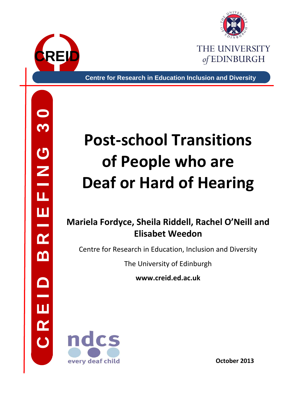



**Centre for Research in Education Inclusion and Diversity**

# **Post-school Transitions of People who are Deaf or Hard of Hearing**

## **Mariela Fordyce, Sheila Riddell, Rachel O'Neill and Elisabet Weedon**

Centre for Research in Education, Inclusion and Diversity

The University of Edinburgh

**www.creid.ed.ac.uk**



**October 2013**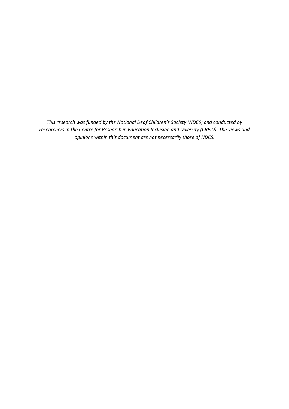*This research was funded by the National Deaf Children's Society (NDCS) and conducted by researchers in the Centre for Research in Education Inclusion and Diversity (CREID). The views and opinions within this document are not necessarily those of NDCS.*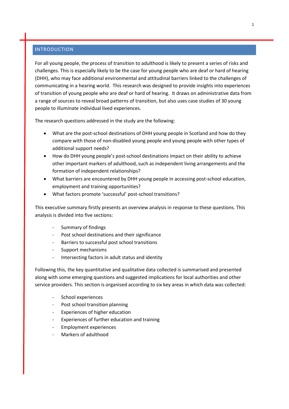#### **I**NTRODUCTION

For all young people, the process of transition to adulthood is likely to present a series of risks and challenges. This is especially likely to be the case for young people who are deaf or hard of hearing (DHH), who may face additional environmental and attitudinal barriers linked to the challenges of communicating in a hearing world. This research was designed to provide insights into experiences of transition of young people who are deaf or hard of hearing. It draws on administrative data from a range of sources to reveal broad patterns of transition, but also uses case studies of 30 young people to illuminate individual lived experiences.

The research questions addressed in the study are the following:

- What are the post-school destinations of DHH young people in Scotland and how do they compare with those of non-disabled young people and young people with other types of additional support needs?
- How do DHH young people's post-school destinations impact on their ability to achieve other important markers of adulthood, such as independent living arrangements and the formation of independent relationships?
- What barriers are encountered by DHH young people in accessing post-school education, employment and training opportunities?
- What factors promote 'successful' post-school transitions?

This executive summary firstly presents an overview analysis in response to these questions. This analysis is divided into five sections:

- Summary of findings
- Post school destinations and their significance
- Barriers to successful post school transitions
- Support mechanisms
- Intersecting factors in adult status and identity

Following this, the key quantitative and qualitative data collected is summarised and presented along with some emerging questions and suggested implications for local authorities and other service providers. This section is organised according to six key areas in which data was collected:

- School experiences
- Post school transition planning
- Experiences of higher education
- Experiences of further education and training
- Employment experiences
- Markers of adulthood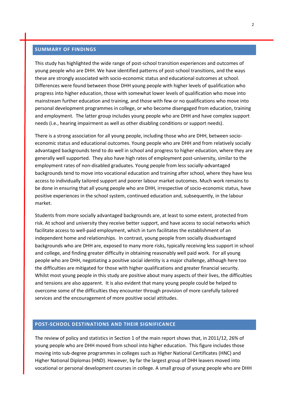#### **SUMMARY OF FINDINGS**

This study has highlighted the wide range of post-school transition experiences and outcomes of young people who are DHH. We have identified patterns of post-school transitions, and the ways these are strongly associated with socio-economic status and educational outcomes at school. Differences were found between those DHH young people with higher levels of qualification who progress into higher education, those with somewhat lower levels of qualification who move into mainstream further education and training, and those with few or no qualifications who move into personal development programmes in college, or who become disengaged from education, training and employment. The latter group includes young people who are DHH and have complex support needs (i.e., hearing impairment as well as other disabling conditions or support needs).

There is a strong association for all young people, including those who are DHH, between socioeconomic status and educational outcomes. Young people who are DHH and from relatively socially advantaged backgrounds tend to do well in school and progress to higher education, where they are generally well supported. They also have high rates of employment post-university, similar to the employment rates of non-disabled graduates. Young people from less socially-advantaged backgrounds tend to move into vocational education and training after school, where they have less access to individually tailored support and poorer labour market outcomes. Much work remains to be done in ensuring that all young people who are DHH, irrespective of socio-economic status, have positive experiences in the school system, continued education and, subsequently, in the labour market.

Students from more socially advantaged backgrounds are, at least to some extent, protected from risk. At school and university they receive better support, and have access to social networks which facilitate access to well-paid employment, which in turn facilitates the establishment of an independent home and relationships. In contrast, young people from socially disadvantaged backgrounds who are DHH are, exposed to many more risks, typically receiving less support in school and college, and finding greater difficulty in obtaining reasonably well paid work. For all young people who are DHH, negotiating a positive social identity is a major challenge, although here too the difficulties are mitigated for those with higher qualifications and greater financial security. Whilst most young people in this study are positive about many aspects of their lives, the difficulties and tensions are also apparent. It is also evident that many young people could be helped to overcome some of the difficulties they encounter through provision of more carefully tailored services and the encouragement of more positive social attitudes.

#### **POST-SCHOOL DESTINATIONS AND THEIR SIGNIFICANCE**

The review of policy and statistics in Section 1 of the main report shows that, in 2011/12, 26% of young people who are DHH moved from school into higher education. This figure includes those moving into sub-degree programmes in colleges such as Higher National Certificates (HNC) and Higher National Diplomas (HND). However, by far the largest group of DHH leavers moved into vocational or personal development courses in college. A small group of young people who are DHH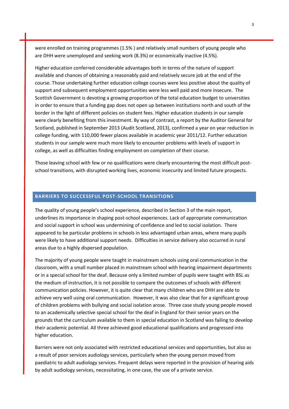were enrolled on training programmes (1.5% ) and relatively small numbers of young people who are DHH were unemployed and seeking work (8.3%) or economically inactive (4.5%).

Higher education conferred considerable advantages both in terms of the nature of support available and chances of obtaining a reasonably paid and relatively secure job at the end of the course. Those undertaking further education college courses were less positive about the quality of support and subsequent employment opportunities were less well paid and more insecure. The Scottish Government is devoting a growing proportion of the total education budget to universities in order to ensure that a funding gap does not open up between institutions north and south of the border in the light of different policies on student fees. Higher education students in our sample were clearly benefiting from this investment. By way of contrast, a report by the Auditor General for Scotland, published in September 2013 (Audit Scotland, 2013), confirmed a year on year reduction in college funding, with 110,000 fewer places available in academic year 2011/12. Further education students in our sample were much more likely to encounter problems with levels of support in college, as well as difficulties finding employment on completion of their course.

Those leaving school with few or no qualifications were clearly encountering the most difficult postschool transitions, with disrupted working lives, economic insecurity and limited future prospects.

#### **BARRIERS TO SUCCESSFUL POST-SCHOOL TRANSITIONS**

The quality of young people's school experience, described in Section 3 of the main report, underlines its importance in shaping post-school experiences. Lack of appropriate communication and social support in school was undermining of confidence and led to social isolation. There appeared to be particular problems in schools in less advantaged urban areas, where many pupils were likely to have additional support needs. Difficulties in service delivery also occurred in rural areas due to a highly dispersed population.

The majority of young people were taught in mainstream schools using oral communication in the classroom, with a small number placed in mainstream school with hearing impairment departments or in a special school for the deaf. Because only a limited number of pupils were taught with BSL as the medium of instruction, it is not possible to compare the outcomes of schools with different communication policies. However, it is quite clear that many children who are DHH are able to achieve very well using oral communication. However, it was also clear that for a significant group of children problems with bullying and social isolation arose. Three case study young people moved to an academically selective special school for the deaf in England for their senior years on the grounds that the curriculum available to them in special education in Scotland was failing to develop their academic potential. All three achieved good educational qualifications and progressed into higher education.

Barriers were not only associated with restricted educational services and opportunities, but also as a result of poor services audiology services, particularly when the young person moved from paediatric to adult audiology services. Frequent delays were reported in the provision of hearing aids by adult audiology services, necessitating, in one case, the use of a private service.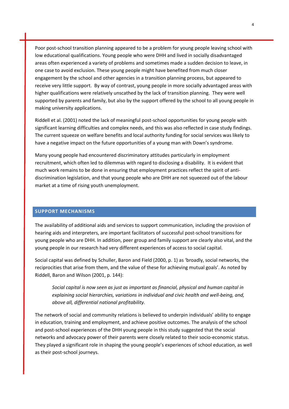Poor post-school transition planning appeared to be a problem for young people leaving school with low educational qualifications. Young people who were DHH and lived in socially disadvantaged areas often experienced a variety of problems and sometimes made a sudden decision to leave, in one case to avoid exclusion. These young people might have benefited from much closer engagement by the school and other agencies in a transition planning process, but appeared to receive very little support. By way of contrast, young people in more socially advantaged areas with higher qualifications were relatively unscathed by the lack of transition planning. They were well supported by parents and family, but also by the support offered by the school to all young people in making university applications.

Riddell et al. (2001) noted the lack of meaningful post-school opportunities for young people with significant learning difficulties and complex needs, and this was also reflected in case study findings. The current squeeze on welfare benefits and local authority funding for social services was likely to have a negative impact on the future opportunities of a young man with Down's syndrome.

Many young people had encountered discriminatory attitudes particularly in employment recruitment, which often led to dilemmas with regard to disclosing a disability. It is evident that much work remains to be done in ensuring that employment practices reflect the spirit of antidiscrimination legislation, and that young people who are DHH are not squeezed out of the labour market at a time of rising youth unemployment.

#### **SUPPORT MECHANISMS**

The availability of additional aids and services to support communication, including the provision of hearing aids and interpreters, are important facilitators of successful post-school transitions for young people who are DHH. In addition, peer group and family support are clearly also vital, and the young people in our research had very different experiences of access to social capital.

Social capital was defined by Schuller, Baron and Field (2000, p. 1) as 'broadly, social networks, the reciprocities that arise from them, and the value of these for achieving mutual goals'. As noted by Riddell, Baron and Wilson (2001, p. 144):

*Social capital is now seen as just as important as financial, physical and human capital in explaining social hierarchies, variations in individual and civic health and well-being, and, above all, differential national profitability.*

The network of social and community relations is believed to underpin individuals' ability to engage in education, training and employment, and achieve positive outcomes. The analysis of the school and post-school experiences of the DHH young people in this study suggested that the social networks and advocacy power of their parents were closely related to their socio-economic status. They played a significant role in shaping the young people's experiences of school education, as well as their post-school journeys.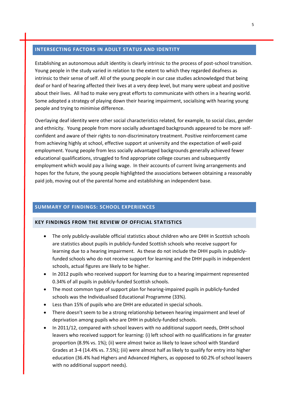#### **INTERSECTING FACTORS IN ADULT STATUS AND IDENTITY**

Establishing an autonomous adult identity is clearly intrinsic to the process of post-school transition. Young people in the study varied in relation to the extent to which they regarded deafness as intrinsic to their sense of self. All of the young people in our case studies acknowledged that being deaf or hard of hearing affected their lives at a very deep level, but many were upbeat and positive about their lives. All had to make very great efforts to communicate with others in a hearing world. Some adopted a strategy of playing down their hearing impairment, socialising with hearing young people and trying to minimise difference.

Overlaying deaf identity were other social characteristics related, for example, to social class, gender and ethnicity. Young people from more socially advantaged backgrounds appeared to be more selfconfident and aware of their rights to non-discriminatory treatment. Positive reinforcement came from achieving highly at school, effective support at university and the expectation of well-paid employment. Young people from less socially advantaged backgrounds generally achieved fewer educational qualifications, struggled to find appropriate college courses and subsequently employment which would pay a living wage. In their accounts of current living arrangements and hopes for the future, the young people highlighted the associations between obtaining a reasonably paid job, moving out of the parental home and establishing an independent base.

#### **SUMMARY OF FINDINGS: SCHOOL EXPERIENCES**

#### **KEY FINDINGS FROM THE REVIEW OF OFFICIAL STATISTICS**

- The only publicly-available official statistics about children who are DHH in Scottish schools are statistics about pupils in publicly-funded Scottish schools who receive support for learning due to a hearing impairment. As these do not include the DHH pupils in publiclyfunded schools who do not receive support for learning and the DHH pupils in independent schools, actual figures are likely to be higher.
- In 2012 pupils who received support for learning due to a hearing impairment represented 0.34% of all pupils in publicly-funded Scottish schools.
- The most common type of support plan for hearing-impaired pupils in publicly-funded schools was the Individualised Educational Programme (33%).
- Less than 15% of pupils who are DHH are educated in special schools.
- There doesn't seem to be a strong relationship between hearing impairment and level of deprivation among pupils who are DHH in publicly-funded schools.
- In 2011/12, compared with school leavers with no additional support needs, DHH school leavers who received support for learning: (i) left school with no qualifications in far greater proportion (8.9% vs. 1%); (ii) were almost twice as likely to leave school with Standard Grades at 3-4 (14.4% vs. 7.5%); (iii) were almost half as likely to qualify for entry into higher education (36.4% had Highers and Advanced Highers, as opposed to 60.2% of school leavers with no additional support needs).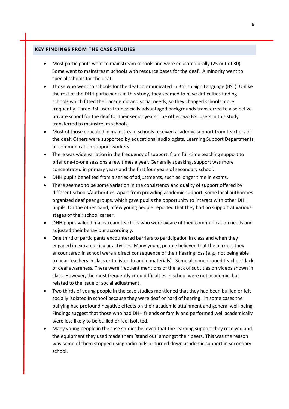- Most participants went to mainstream schools and were educated orally (25 out of 30). Some went to mainstream schools with resource bases for the deaf. A minority went to special schools for the deaf.
- Those who went to schools for the deaf communicated in British Sign Language (BSL). Unlike the rest of the DHH participants in this study, they seemed to have difficulties finding schools which fitted their academic and social needs, so they changed schools more frequently. Three BSL users from socially advantaged backgrounds transferred to a selective private school for the deaf for their senior years. The other two BSL users in this study transferred to mainstream schools.
- Most of those educated in mainstream schools received academic support from teachers of the deaf. Others were supported by educational audiologists, Learning Support Departments or communication support workers.
- There was wide variation in the frequency of support, from full-time teaching support to brief one-to-one sessions a few times a year. Generally speaking, support was more concentrated in primary years and the first four years of secondary school.
- DHH pupils benefited from a series of adjustments, such as longer time in exams.
- There seemed to be some variation in the consistency and quality of support offered by different schools/authorities. Apart from providing academic support, some local authorities organised deaf peer groups, which gave pupils the opportunity to interact with other DHH pupils. On the other hand, a few young people reported that they had no support at various stages of their school career.
- DHH pupils valued mainstream teachers who were aware of their communication needs and adjusted their behaviour accordingly.
- One third of participants encountered barriers to participation in class and when they engaged in extra-curricular activities. Many young people believed that the barriers they encountered in school were a direct consequence of their hearing loss (e.g., not being able to hear teachers in class or to listen to audio materials). Some also mentioned teachers' lack of deaf awareness. There were frequent mentions of the lack of subtitles on videos shown in class. However, the most frequently cited difficulties in school were not academic, but related to the issue of social adjustment.
- Two thirds of young people in the case studies mentioned that they had been bullied or felt socially isolated in school because they were deaf or hard of hearing. In some cases the bullying had profound negative effects on their academic attainment and general well-being. Findings suggest that those who had DHH friends or family and performed well academically were less likely to be bullied or feel isolated.
- Many young people in the case studies believed that the learning support they received and the equipment they used made them 'stand out' amongst their peers. This was the reason why some of them stopped using radio-aids or turned down academic support in secondary school.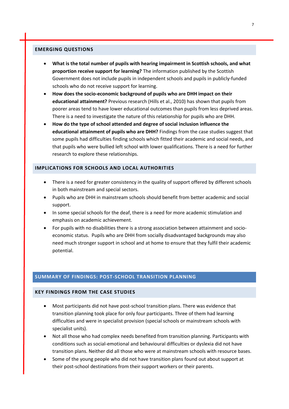- **What is the total number of pupils with hearing impairment in Scottish schools, and what proportion receive support for learning?** The information published by the Scottish Government does not include pupils in independent schools and pupils in publicly-funded schools who do not receive support for learning.
- **How does the socio-economic background of pupils who are DHH impact on their educational attainment?** Previous research (Hills et al., 2010) has shown that pupils from poorer areas tend to have lower educational outcomes than pupils from less deprived areas. There is a need to investigate the nature of this relationship for pupils who are DHH.
- **How do the type of school attended and degree of social inclusion influence the educational attainment of pupils who are DHH?** Findings from the case studies suggest that some pupils had difficulties finding schools which fitted their academic and social needs, and that pupils who were bullied left school with lower qualifications. There is a need for further research to explore these relationships.

#### **IMPLICATIONS FOR SCHOOLS AND LOCAL AUTHORITIES**

- There is a need for greater consistency in the quality of support offered by different schools in both mainstream and special sectors.
- Pupils who are DHH in mainstream schools should benefit from better academic and social support.
- In some special schools for the deaf, there is a need for more academic stimulation and emphasis on academic achievement.
- For pupils with no disabilities there is a strong association between attainment and socioeconomic status. Pupils who are DHH from socially disadvantaged backgrounds may also need much stronger support in school and at home to ensure that they fulfil their academic potential.

#### **SUMMARY OF FINDINGS: POST-SCHOOL TRANSITION PLANNING**

- Most participants did not have post-school transition plans. There was evidence that transition planning took place for only four participants. Three of them had learning difficulties and were in specialist provision (special schools or mainstream schools with specialist units).
- Not all those who had complex needs benefited from transition planning. Participants with conditions such as social-emotional and behavioural difficulties or dyslexia did not have transition plans. Neither did all those who were at mainstream schools with resource bases.
- Some of the young people who did not have transition plans found out about support at their post-school destinations from their support workers or their parents.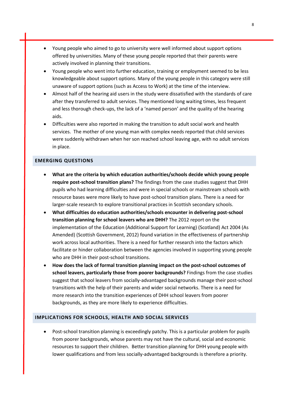- Young people who aimed to go to university were well informed about support options offered by universities. Many of these young people reported that their parents were actively involved in planning their transitions.
- Young people who went into further education, training or employment seemed to be less knowledgeable about support options. Many of the young people in this category were still unaware of support options (such as Access to Work) at the time of the interview.
- Almost half of the hearing aid users in the study were dissatisfied with the standards of care after they transferred to adult services. They mentioned long waiting times, less frequent and less thorough check-ups, the lack of a 'named person' and the quality of the hearing aids.
- Difficulties were also reported in making the transition to adult social work and health services. The mother of one young man with complex needs reported that child services were suddenly withdrawn when her son reached school leaving age, with no adult services in place.

- **What are the criteria by which education authorities/schools decide which young people require post-school transition plans?** The findings from the case studies suggest that DHH pupils who had learning difficulties and were in special schools or mainstream schools with resource bases were more likely to have post-school transition plans. There is a need for larger-scale research to explore transitional practices in Scottish secondary schools.
- **What difficulties do education authorities/schools encounter in delivering post-school transition planning for school leavers who are DHH?** The 2012 report on the implementation of the Education (Additional Support for Learning) (Scotland) Act 2004 (As Amended) (Scottish Government, 2012) found variation in the effectiveness of partnership work across local authorities. There is a need for further research into the factors which facilitate or hinder collaboration between the agencies involved in supporting young people who are DHH in their post-school transitions.
- **How does the lack of formal transition planning impact on the post-school outcomes of school leavers, particularly those from poorer backgrounds?** Findings from the case studies suggest that school leavers from socially-advantaged backgrounds manage their post-school transitions with the help of their parents and wider social networks. There is a need for more research into the transition experiences of DHH school leavers from poorer backgrounds, as they are more likely to experience difficulties.

#### **IMPLICATIONS FOR SCHOOLS, HEALTH AND SOCIAL SERVICES**

 Post-school transition planning is exceedingly patchy. This is a particular problem for pupils from poorer backgrounds, whose parents may not have the cultural, social and economic resources to support their children. Better transition planning for DHH young people with lower qualifications and from less socially-advantaged backgrounds is therefore a priority.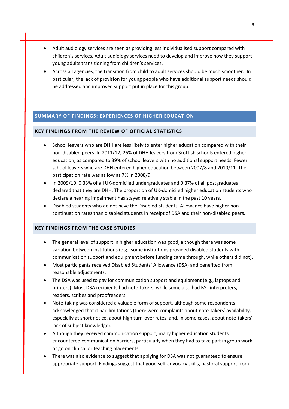- Adult audiology services are seen as providing less individualised support compared with children's services. Adult audiology services need to develop and improve how they support young adults transitioning from children's services.
- Across all agencies, the transition from child to adult services should be much smoother. In particular, the lack of provision for young people who have additional support needs should be addressed and improved support put in place for this group.

#### **SUMMARY OF FINDINGS: EXPERIENCES OF HIGHER EDUCATION**

### **KEY FINDINGS FROM THE REVIEW OF OFFICIAL STATISTICS**

- School leavers who are DHH are less likely to enter higher education compared with their non-disabled peers. In 2011/12, 26% of DHH leavers from Scottish schools entered higher education, as compared to 39% of school leavers with no additional support needs. Fewer school leavers who are DHH entered higher education between 2007/8 and 2010/11. The participation rate was as low as 7% in 2008/9.
- In 2009/10, 0.33% of all UK-domiciled undergraduates and 0.37% of all postgraduates declared that they are DHH. The proportion of UK-domiciled higher education students who declare a hearing impairment has stayed relatively stable in the past 10 years.
- Disabled students who do not have the Disabled Students' Allowance have higher noncontinuation rates than disabled students in receipt of DSA and their non-disabled peers.

- The general level of support in higher education was good, although there was some variation between institutions (e.g., some institutions provided disabled students with communication support and equipment before funding came through, while others did not).
- Most participants received Disabled Students' Allowance (DSA) and benefited from reasonable adjustments.
- The DSA was used to pay for communication support and equipment (e.g., laptops and printers). Most DSA recipients had note-takers, while some also had BSL interpreters, readers, scribes and proofreaders.
- Note-taking was considered a valuable form of support, although some respondents acknowledged that it had limitations (there were complaints about note-takers' availability, especially at short notice, about high turn-over rates, and, in some cases, about note-takers' lack of subject knowledge).
- Although they received communication support, many higher education students encountered communication barriers, particularly when they had to take part in group work or go on clinical or teaching placements.
- There was also evidence to suggest that applying for DSA was not guaranteed to ensure appropriate support. Findings suggest that good self-advocacy skills, pastoral support from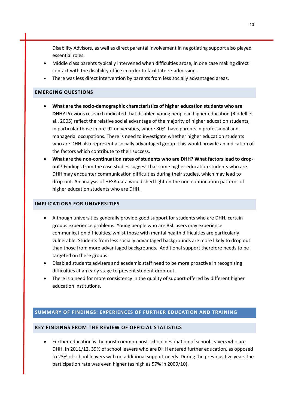Disability Advisors, as well as direct parental involvement in negotiating support also played essential roles.

- Middle class parents typically intervened when difficulties arose, in one case making direct contact with the disability office in order to facilitate re-admission.
- There was less direct intervention by parents from less socially advantaged areas.

#### **EMERGING QUESTIONS**

- **What are the socio-demographic characteristics of higher education students who are DHH?** Previous research indicated that disabled young people in higher education (Riddell et al., 2005) reflect the relative social advantage of the majority of higher education students, in particular those in pre-92 universities, where 80% have parents in professional and managerial occupations. There is need to investigate whether higher education students who are DHH also represent a socially advantaged group. This would provide an indication of the factors which contribute to their success.
- **What are the non-continuation rates of students who are DHH? What factors lead to dropout?** Findings from the case studies suggest that some higher education students who are DHH may encounter communication difficulties during their studies, which may lead to drop-out. An analysis of HESA data would shed light on the non-continuation patterns of higher education students who are DHH.

#### **IMPLICATIONS FOR UNIVERSITIES**

- Although universities generally provide good support for students who are DHH, certain groups experience problems. Young people who are BSL users may experience communication difficulties, whilst those with mental health difficulties are particularly vulnerable. Students from less socially advantaged backgrounds are more likely to drop out than those from more advantaged backgrounds. Additional support therefore needs to be targeted on these groups.
- Disabled students advisers and academic staff need to be more proactive in recognising difficulties at an early stage to prevent student drop-out.
- There is a need for more consistency in the quality of support offered by different higher education institutions.

#### **SUMMARY OF FINDINGS: EXPERIENCES OF FURTHER EDUCATION AND TRAINING**

#### **KEY FINDINGS FROM THE REVIEW OF OFFICIAL STATISTICS**

 Further education is the most common post-school destination of school leavers who are DHH. In 2011/12, 39% of school leavers who are DHH entered further education, as opposed to 23% of school leavers with no additional support needs. During the previous five years the participation rate was even higher (as high as 57% in 2009/10).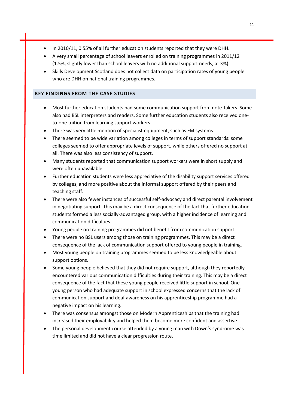- In 2010/11, 0.55% of all further education students reported that they were DHH.
- A very small percentage of school leavers enrolled on training programmes in 2011/12 (1.5%, slightly lower than school leavers with no additional support needs, at 3%).
- Skills Development Scotland does not collect data on participation rates of young people who are DHH on national training programmes.

- Most further education students had some communication support from note-takers. Some also had BSL interpreters and readers. Some further education students also received oneto-one tuition from learning support workers.
- There was very little mention of specialist equipment, such as FM systems.
- There seemed to be wide variation among colleges in terms of support standards: some colleges seemed to offer appropriate levels of support, while others offered no support at all. There was also less consistency of support.
- Many students reported that communication support workers were in short supply and were often unavailable.
- Further education students were less appreciative of the disability support services offered by colleges, and more positive about the informal support offered by their peers and teaching staff.
- There were also fewer instances of successful self-advocacy and direct parental involvement in negotiating support. This may be a direct consequence of the fact that further education students formed a less socially-advantaged group, with a higher incidence of learning and communication difficulties.
- Young people on training programmes did not benefit from communication support.
- There were no BSL users among those on training programmes. This may be a direct consequence of the lack of communication support offered to young people in training.
- Most young people on training programmes seemed to be less knowledgeable about support options.
- Some young people believed that they did not require support, although they reportedly encountered various communication difficulties during their training. This may be a direct consequence of the fact that these young people received little support in school. One young person who had adequate support in school expressed concerns that the lack of communication support and deaf awareness on his apprenticeship programme had a negative impact on his learning.
- There was consensus amongst those on Modern Apprenticeships that the training had increased their employability and helped them become more confident and assertive.
- The personal development course attended by a young man with Down's syndrome was time limited and did not have a clear progression route.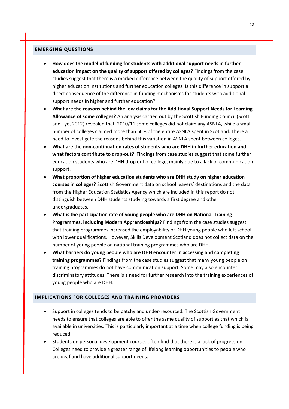- **How does the model of funding for students with additional support needs in further education impact on the quality of support offered by colleges?** Findings from the case studies suggest that there is a marked difference between the quality of support offered by higher education institutions and further education colleges. Is this difference in support a direct consequence of the difference in funding mechanisms for students with additional support needs in higher and further education?
- **What are the reasons behind the low claims for the Additional Support Needs for Learning Allowance of some colleges?** An analysis carried out by the Scottish Funding Council (Scott and Tye, 2012) revealed that 2010/11 some colleges did not claim any ASNLA, while a small number of colleges claimed more than 60% of the entire ASNLA spent in Scotland. There a need to investigate the reasons behind this variation in ASNLA spent between colleges.
- **What are the non-continuation rates of students who are DHH in further education and what factors contribute to drop-out?** Findings from case studies suggest that some further education students who are DHH drop out of college, mainly due to a lack of communication support.
- **What proportion of higher education students who are DHH study on higher education courses in colleges?** Scottish Government data on school leavers' destinations and the data from the Higher Education Statistics Agency which are included in this report do not distinguish between DHH students studying towards a first degree and other undergraduates.
- **What is the participation rate of young people who are DHH on National Training Programmes, including Modern Apprenticeships?** Findings from the case studies suggest that training programmes increased the employability of DHH young people who left school with lower qualifications. However, Skills Development Scotland does not collect data on the number of young people on national training programmes who are DHH.
- **What barriers do young people who are DHH encounter in accessing and completing training programmes?** Findings from the case studies suggest that many young people on training programmes do not have communication support. Some may also encounter discriminatory attitudes. There is a need for further research into the training experiences of young people who are DHH.

#### **IMPLICATIONS FOR COLLEGES AND TRAINING PROVIDERS**

- Support in colleges tends to be patchy and under-resourced. The Scottish Government needs to ensure that colleges are able to offer the same quality of support as that which is available in universities. This is particularly important at a time when college funding is being reduced.
- Students on personal development courses often find that there is a lack of progression. Colleges need to provide a greater range of lifelong learning opportunities to people who are deaf and have additional support needs.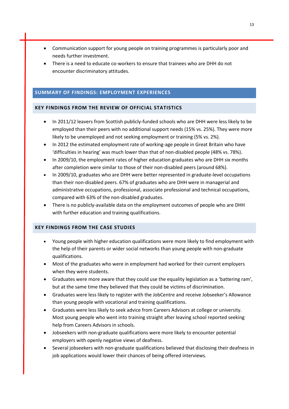- Communication support for young people on training programmes is particularly poor and needs further investment.
- There is a need to educate co-workers to ensure that trainees who are DHH do not encounter discriminatory attitudes.

#### **SUMMARY OF FINDINGS: EMPLOYMENT EXPERIENCES**

#### **KEY FINDINGS FROM THE REVIEW OF OFFICIAL STATISTICS**

- In 2011/12 leavers from Scottish publicly-funded schools who are DHH were less likely to be employed than their peers with no additional support needs (15% vs. 25%). They were more likely to be unemployed and not seeking employment or training (5% vs. 2%).
- In 2012 the estimated employment rate of working-age people in Great Britain who have 'difficulties in hearing' was much lower than that of non-disabled people (48% vs. 78%).
- In 2009/10, the employment rates of higher education graduates who are DHH six months after completion were similar to those of their non-disabled peers (around 68%).
- In 2009/10, graduates who are DHH were better represented in graduate-level occupations than their non-disabled peers. 67% of graduates who are DHH were in managerial and administrative occupations, professional, associate professional and technical occupations, compared with 63% of the non-disabled graduates.
- There is no publicly-available data on the employment outcomes of people who are DHH with further education and training qualifications.

- Young people with higher education qualifications were more likely to find employment with the help of their parents or wider social networks than young people with non-graduate qualifications.
- Most of the graduates who were in employment had worked for their current employers when they were students.
- Graduates were more aware that they could use the equality legislation as a 'battering ram', but at the same time they believed that they could be victims of discrimination.
- Graduates were less likely to register with the JobCentre and receive Jobseeker's Allowance than young people with vocational and training qualifications.
- Graduates were less likely to seek advice from Careers Advisors at college or university. Most young people who went into training straight after leaving school reported seeking help from Careers Advisors in schools.
- Jobseekers with non-graduate qualifications were more likely to encounter potential employers with openly negative views of deafness.
- Several jobseekers with non-graduate qualifications believed that disclosing their deafness in job applications would lower their chances of being offered interviews.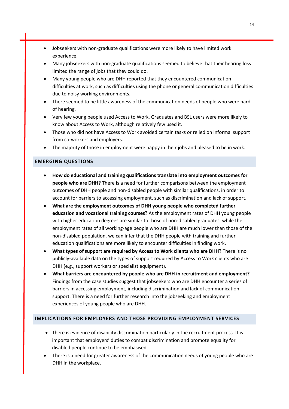- Jobseekers with non-graduate qualifications were more likely to have limited work experience.
- Many jobseekers with non-graduate qualifications seemed to believe that their hearing loss limited the range of jobs that they could do.
- Many young people who are DHH reported that they encountered communication difficulties at work, such as difficulties using the phone or general communication difficulties due to noisy working environments.
- There seemed to be little awareness of the communication needs of people who were hard of hearing.
- Very few young people used Access to Work. Graduates and BSL users were more likely to know about Access to Work, although relatively few used it.
- Those who did not have Access to Work avoided certain tasks or relied on informal support from co-workers and employers.
- The majority of those in employment were happy in their jobs and pleased to be in work.

- **How do educational and training qualifications translate into employment outcomes for people who are DHH?** There is a need for further comparisons between the employment outcomes of DHH people and non-disabled people with similar qualifications, in order to account for barriers to accessing employment, such as discrimination and lack of support.
- **What are the employment outcomes of DHH young people who completed further education and vocational training courses?** As the employment rates of DHH young people with higher education degrees are similar to those of non-disabled graduates, while the employment rates of all working-age people who are DHH are much lower than those of the non-disabled population, we can infer that the DHH people with training and further education qualifications are more likely to encounter difficulties in finding work.
- **What types of support are required by Access to Work clients who are DHH?** There is no publicly-available data on the types of support required by Access to Work clients who are DHH (e.g., support workers or specialist equipment).
- **What barriers are encountered by people who are DHH in recruitment and employment?** Findings from the case studies suggest that jobseekers who are DHH encounter a series of barriers in accessing employment, including discrimination and lack of communication support. There is a need for further research into the jobseeking and employment experiences of young people who are DHH.

#### **IMPLICATIONS FOR EMPLOYERS AND THOSE PROVIDING EMPLOYMENT SERVICES**

- There is evidence of disability discrimination particularly in the recruitment process. It is important that employers' duties to combat discrimination and promote equality for disabled people continue to be emphasised.
- There is a need for greater awareness of the communication needs of young people who are DHH in the workplace.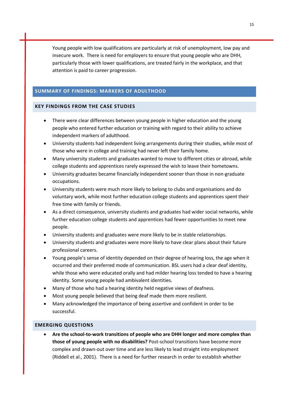Young people with low qualifications are particularly at risk of unemployment, low pay and insecure work. There is need for employers to ensure that young people who are DHH, particularly those with lower qualifications, are treated fairly in the workplace, and that attention is paid to career progression.

#### **SUMMARY OF FINDINGS: MARKERS OF ADULTHOOD**

#### **KEY FINDINGS FROM THE CASE STUDIES**

- There were clear differences between young people in higher education and the young people who entered further education or training with regard to their ability to achieve independent markers of adulthood.
- University students had independent living arrangements during their studies, while most of those who were in college and training had never left their family home.
- Many university students and graduates wanted to move to different cities or abroad, while college students and apprentices rarely expressed the wish to leave their hometowns.
- University graduates became financially independent sooner than those in non-graduate occupations.
- University students were much more likely to belong to clubs and organisations and do voluntary work, while most further education college students and apprentices spent their free time with family or friends.
- As a direct consequence, university students and graduates had wider social networks, while further education college students and apprentices had fewer opportunities to meet new people.
- University students and graduates were more likely to be in stable relationships.
- University students and graduates were more likely to have clear plans about their future professional careers.
- Young people's sense of identity depended on their degree of hearing loss, the age when it occurred and their preferred mode of communication. BSL users had a clear deaf identity, while those who were educated orally and had milder hearing loss tended to have a hearing identity. Some young people had ambivalent identities.
- Many of those who had a hearing identity held negative views of deafness.
- Most young people believed that being deaf made them more resilient.
- Many acknowledged the importance of being assertive and confident in order to be successful.

#### **EMERGING QUESTIONS**

 **Are the school-to-work transitions of people who are DHH longer and more complex than those of young people with no disabilities?** Post-school transitions have become more complex and drawn-out over time and are less likely to lead straight into employment (Riddell et al., 2001). There is a need for further research in order to establish whether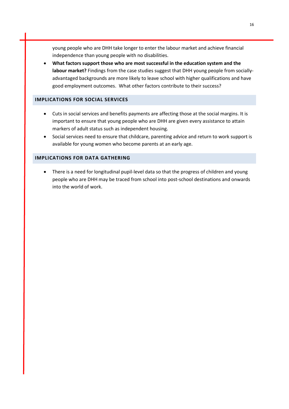young people who are DHH take longer to enter the labour market and achieve financial independence than young people with no disabilities.

 **What factors support those who are most successful in the education system and the labour market?** Findings from the case studies suggest that DHH young people from sociallyadvantaged backgrounds are more likely to leave school with higher qualifications and have good employment outcomes. What other factors contribute to their success?

#### **IMPLICATIONS FOR SOCIAL SERVICES**

- Cuts in social services and benefits payments are affecting those at the social margins. It is important to ensure that young people who are DHH are given every assistance to attain markers of adult status such as independent housing.
- Social services need to ensure that childcare, parenting advice and return to work support is available for young women who become parents at an early age.

#### **IMPLICATIONS FOR DATA GATHERING**

 There is a need for longitudinal pupil-level data so that the progress of children and young people who are DHH may be traced from school into post-school destinations and onwards into the world of work.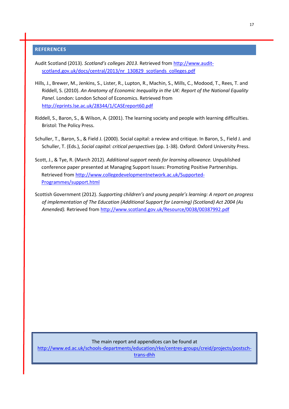#### **REFERENCES**

Audit Scotland (2013). *Scotland's colleges 2013*. Retrieved from [http://www.audit](http://www.audit-scotland.gov.uk/docs/central/2013/nr_130829_scotlands_colleges.pdf)[scotland.gov.uk/docs/central/2013/nr\\_130829\\_scotlands\\_colleges.pdf](http://www.audit-scotland.gov.uk/docs/central/2013/nr_130829_scotlands_colleges.pdf)

- Hills, J., Brewer, M., Jenkins, S., Lister, R., Lupton, R., Machin, S., Mills, C., Modood, T., Rees, T. and Riddell, S. (2010). *An Anatomy of Economic Inequality in the UK: Report of the National Equality Panel*. London: London School of Economics. Retrieved from <http://eprints.lse.ac.uk/28344/1/CASEreport60.pdf>
- Riddell, S., Baron, S., & Wilson, A. (2001). The learning society and people with learning difficulties. Bristol: The Policy Press.
- Schuller, T., Baron, S., & Field J. (2000). Social capital: a review and critique. In Baron, S., Field J. and Schuller, T. (Eds.), *Social capital: critical perspectives* (pp. 1-38). Oxford: Oxford University Press.
- Scott, J., & Tye, R. (March 2012). *Additional support needs for learning allowance.* Unpublished conference paper presented at Managing Support Issues: Promoting Positive Partnerships. Retrieved fro[m http://www.collegedevelopmentnetwork.ac.uk/Supported-](http://www.collegedevelopmentnetwork.ac.uk/Supported-Programmes/support.html)[Programmes/support.html](http://www.collegedevelopmentnetwork.ac.uk/Supported-Programmes/support.html)
- Scottish Government (2012). *Supporting children's and young people's learning: A report on progress of implementation of The Education (Additional Support for Learning) (Scotland) Act 2004 (As Amended).* Retrieved from<http://www.scotland.gov.uk/Resource/0038/00387992.pdf>

#### The main report and appendices can be found at

[http://www.ed.ac.uk/schools-departments/education/rke/centres-groups/creid/projects/postsch](http://www.ed.ac.uk/schools-departments/education/rke/centres-groups/creid/projects/postsch-trans-dhh)[trans-dhh](http://www.ed.ac.uk/schools-departments/education/rke/centres-groups/creid/projects/postsch-trans-dhh)